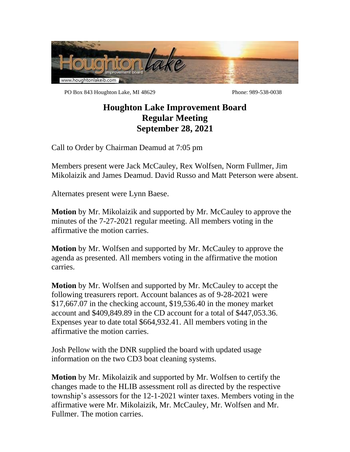

PO Box 843 Houghton Lake, MI 48629 Phone: 989-538-0038

## **Houghton Lake Improvement Board Regular Meeting September 28, 2021**

Call to Order by Chairman Deamud at 7:05 pm

Members present were Jack McCauley, Rex Wolfsen, Norm Fullmer, Jim Mikolaizik and James Deamud. David Russo and Matt Peterson were absent.

Alternates present were Lynn Baese.

**Motion** by Mr. Mikolaizik and supported by Mr. McCauley to approve the minutes of the 7-27-2021 regular meeting. All members voting in the affirmative the motion carries.

**Motion** by Mr. Wolfsen and supported by Mr. McCauley to approve the agenda as presented. All members voting in the affirmative the motion carries.

**Motion** by Mr. Wolfsen and supported by Mr. McCauley to accept the following treasurers report. Account balances as of 9-28-2021 were \$17,667.07 in the checking account, \$19,536.40 in the money market account and \$409,849.89 in the CD account for a total of \$447,053.36. Expenses year to date total \$664,932.41. All members voting in the affirmative the motion carries.

Josh Pellow with the DNR supplied the board with updated usage information on the two CD3 boat cleaning systems.

**Motion** by Mr. Mikolaizik and supported by Mr. Wolfsen to certify the changes made to the HLIB assessment roll as directed by the respective township's assessors for the 12-1-2021 winter taxes. Members voting in the affirmative were Mr. Mikolaizik, Mr. McCauley, Mr. Wolfsen and Mr. Fullmer. The motion carries.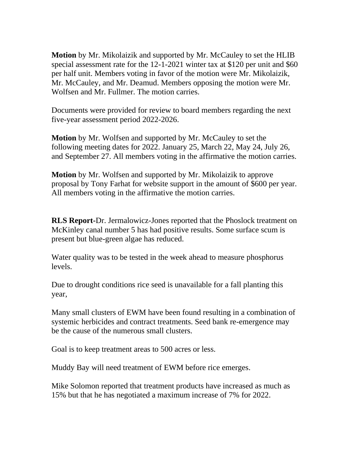**Motion** by Mr. Mikolaizik and supported by Mr. McCauley to set the HLIB special assessment rate for the 12-1-2021 winter tax at \$120 per unit and \$60 per half unit. Members voting in favor of the motion were Mr. Mikolaizik, Mr. McCauley, and Mr. Deamud. Members opposing the motion were Mr. Wolfsen and Mr. Fullmer. The motion carries.

Documents were provided for review to board members regarding the next five-year assessment period 2022-2026.

**Motion** by Mr. Wolfsen and supported by Mr. McCauley to set the following meeting dates for 2022. January 25, March 22, May 24, July 26, and September 27. All members voting in the affirmative the motion carries.

**Motion** by Mr. Wolfsen and supported by Mr. Mikolaizik to approve proposal by Tony Farhat for website support in the amount of \$600 per year. All members voting in the affirmative the motion carries.

**RLS Report-**Dr. Jermalowicz-Jones reported that the Phoslock treatment on McKinley canal number 5 has had positive results. Some surface scum is present but blue-green algae has reduced.

Water quality was to be tested in the week ahead to measure phosphorus levels.

Due to drought conditions rice seed is unavailable for a fall planting this year,

Many small clusters of EWM have been found resulting in a combination of systemic herbicides and contract treatments. Seed bank re-emergence may be the cause of the numerous small clusters.

Goal is to keep treatment areas to 500 acres or less.

Muddy Bay will need treatment of EWM before rice emerges.

Mike Solomon reported that treatment products have increased as much as 15% but that he has negotiated a maximum increase of 7% for 2022.